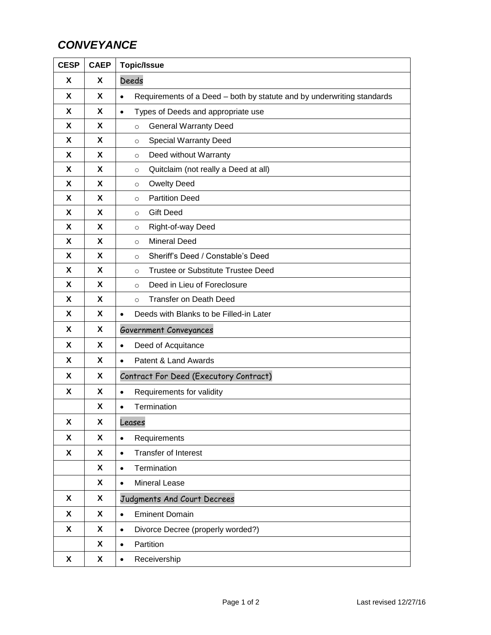## *CONVEYANCE*

| <b>CESP</b>               | <b>CAEP</b> | <b>Topic/Issue</b>                                                                  |
|---------------------------|-------------|-------------------------------------------------------------------------------------|
| X                         | X           | Deeds                                                                               |
| X                         | X           | Requirements of a Deed - both by statute and by underwriting standards<br>$\bullet$ |
| X                         | X           | Types of Deeds and appropriate use<br>$\bullet$                                     |
| X                         | X           | <b>General Warranty Deed</b><br>$\circ$                                             |
| X                         | X           | <b>Special Warranty Deed</b><br>$\circ$                                             |
| X                         | X           | Deed without Warranty<br>$\circ$                                                    |
| X                         | X           | Quitclaim (not really a Deed at all)<br>$\circ$                                     |
| X                         | X           | <b>Owelty Deed</b><br>$\circ$                                                       |
| X                         | X           | <b>Partition Deed</b><br>$\circ$                                                    |
| X                         | X           | <b>Gift Deed</b><br>$\circ$                                                         |
| X                         | X           | Right-of-way Deed<br>$\circ$                                                        |
| X                         | X           | <b>Mineral Deed</b><br>$\circ$                                                      |
| X                         | X           | Sheriff's Deed / Constable's Deed<br>$\circ$                                        |
| X                         | X           | <b>Trustee or Substitute Trustee Deed</b><br>$\circ$                                |
| X                         | X           | Deed in Lieu of Foreclosure<br>$\circ$                                              |
| X                         | X           | <b>Transfer on Death Deed</b><br>$\circ$                                            |
| X                         | X           | Deeds with Blanks to be Filled-in Later<br>$\bullet$                                |
| X                         | X           | Government Conveyances                                                              |
| X                         | X           | Deed of Acquitance<br>$\bullet$                                                     |
| X                         | X           | Patent & Land Awards<br>$\bullet$                                                   |
| X                         | X           | Contract For Deed (Executory Contract)                                              |
| X                         | X           | Requirements for validity<br>$\bullet$                                              |
|                           | X           | Termination<br>$\bullet$                                                            |
| X                         | X           | Leases                                                                              |
| X                         | X           | Requirements<br>$\bullet$                                                           |
| X                         | X           | <b>Transfer of Interest</b><br>$\bullet$                                            |
|                           | X           | Termination<br>$\bullet$                                                            |
|                           | X           | Mineral Lease<br>$\bullet$                                                          |
| X                         | X           | Judgments And Court Decrees                                                         |
| $\boldsymbol{\mathsf{X}}$ | X           | <b>Eminent Domain</b><br>$\bullet$                                                  |
| X                         | X           | Divorce Decree (properly worded?)<br>$\bullet$                                      |
|                           | X           | Partition<br>$\bullet$                                                              |
| X                         | X           | Receivership<br>$\bullet$                                                           |